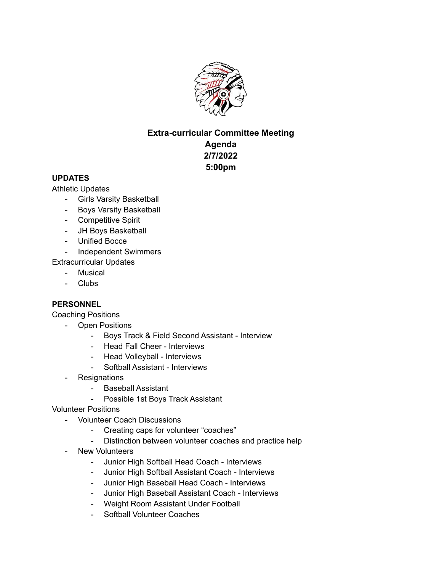

## **Extra-curricular Committee Meeting Agenda**

**2/7/2022 5:00pm**

## **UPDATES**

Athletic Updates

- Girls Varsity Basketball
- Boys Varsity Basketball
- Competitive Spirit
- JH Boys Basketball
- Unified Bocce
- Independent Swimmers

Extracurricular Updates

- Musical
- Clubs

## **PERSONNEL**

Coaching Positions

- Open Positions
	- Boys Track & Field Second Assistant Interview
	- Head Fall Cheer Interviews
	- Head Volleyball Interviews
	- Softball Assistant Interviews
- **Resignations** 
	- Baseball Assistant
	- Possible 1st Boys Track Assistant
- Volunteer Positions
	- Volunteer Coach Discussions
		- Creating caps for volunteer "coaches"
		- Distinction between volunteer coaches and practice help
	- New Volunteers
		- Junior High Softball Head Coach Interviews
		- Junior High Softball Assistant Coach Interviews
		- Junior High Baseball Head Coach Interviews
		- Junior High Baseball Assistant Coach Interviews
		- Weight Room Assistant Under Football
		- Softball Volunteer Coaches